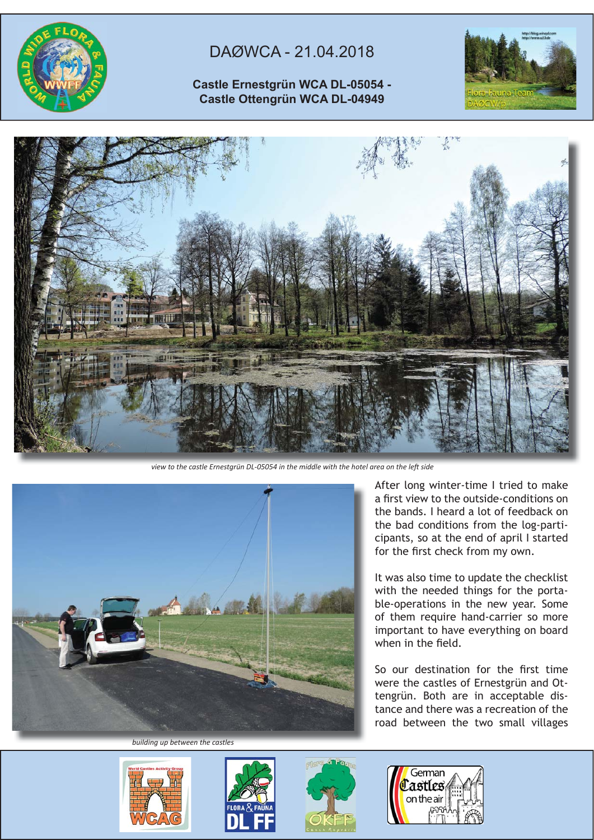

## DAØWCA - 21.04.2018

## **Castle Ernestgrün WCA DL-05054 - Castle Ottengrün WCA DL-04949**





view to the castle Ernestgrün DL-05054 in the middle with the hotel area on the left side



After long winter-time I tried to make a first view to the outside-conditions on the bands. I heard a lot of feedback on the bad conditions from the log-participants, so at the end of april I started for the first check from my own.

It was also time to update the checklist with the needed things for the portable-operations in the new year. Some of them require hand-carrier so more important to have everything on board when in the field.

So our destination for the first time were the castles of Ernestgrün and Ottengrün. Both are in acceptable distance and there was a recreation of the road between the two small villages

*building up between the castles*